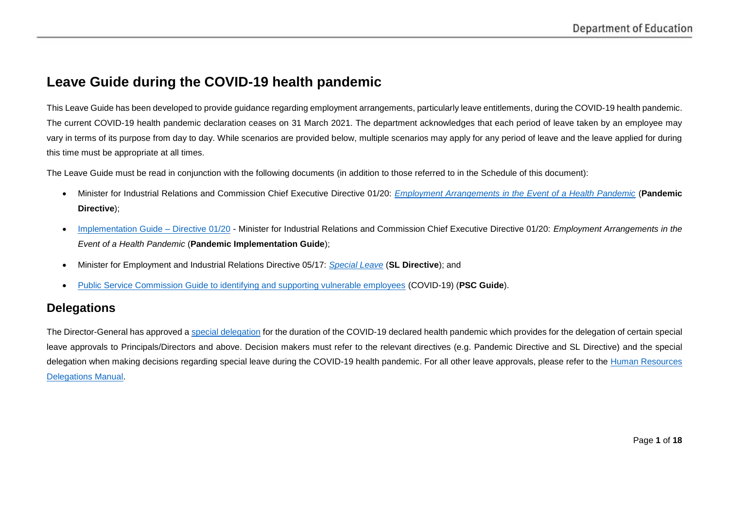# **Leave Guide during the COVID-19 health pandemic**

This Leave Guide has been developed to provide guidance regarding employment arrangements, particularly leave entitlements, during the COVID-19 health pandemic. The current COVID-19 health pandemic declaration ceases on 31 March 2021. The department acknowledges that each period of leave taken by an employee may vary in terms of its purpose from day to day. While scenarios are provided below, multiple scenarios may apply for any period of leave and the leave applied for during this time must be appropriate at all times.

The Leave Guide must be read in conjunction with the following documents (in addition to those referred to in the Schedule of this document):

- Minister for Industrial Relations and Commission Chief Executive Directive 01/20: *[Employment Arrangements in the Event of a Health Pandemic](https://www.forgov.qld.gov.au/system/files/documents/directive-01-20-employment-arrangements-in-the-event-of-a-health-pandemic.pdf?v=1584341201)* (**Pandemic Directive**);
- [Implementation Guide –](https://www.forgov.qld.gov.au/sites/default/files/directive-01-20-implementation-guide-v2.pdf) Directive 01/20 Minister for Industrial Relations and Commission Chief Executive Directive 01/20: *Employment Arrangements in the Event of a Health Pandemic* (**Pandemic Implementation Guide**);
- Minister for Employment and Industrial Relations Directive 05/17: *[Special Leave](https://www.forgov.qld.gov.au/system/files/documents/2017-05-special-leave.pdf?v=1490331635)* (**SL Directive**); and
- [Public Service Commission Guide to identifying and supporting vulnerable employees](https://www.forgov.qld.gov.au/guide-identifying-and-supporting-vulnerable-employees-covid-19#employees-who-don-t-meet-the-definition-of-a-vulnerable-person-but-are-concerned-about-working-in-their-current-role) (COVID-19) (**PSC Guide**).

### **Delegations**

The Director-General has approved a [special delegation](https://intranet.qed.qld.gov.au/Services/CommunicationMarketing/coronavirus/hr-information/Documents/directive-01-20-employment-arrangements-in-the-event-of-a-health-pandemic.PDF) for the duration of the COVID-19 declared health pandemic which provides for the delegation of certain special leave approvals to Principals/Directors and above. Decision makers must refer to the relevant directives (e.g. Pandemic Directive and SL Directive) and the special delegation when making decisions regarding special leave during the COVID-19 health pandemic. For all other leave approvals, please refer to the Human Resources [Delegations Manual.](https://intranet.qed.qld.gov.au/Services/HumanResources/payrollhr/personaldetailspay/Documents/hr-delegations-manual.pdf#search=hr%20delegations)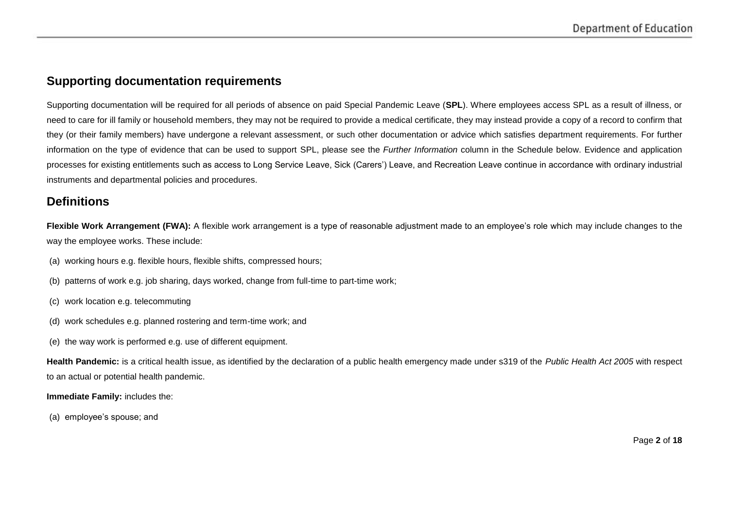## **Supporting documentation requirements**

Supporting documentation will be required for all periods of absence on paid Special Pandemic Leave (**SPL**). Where employees access SPL as a result of illness, or need to care for ill family or household members, they may not be required to provide a medical certificate, they may instead provide a copy of a record to confirm that they (or their family members) have undergone a relevant assessment, or such other documentation or advice which satisfies department requirements. For further information on the type of evidence that can be used to support SPL, please see the *Further Information* column in the Schedule below. Evidence and application processes for existing entitlements such as access to Long Service Leave, Sick (Carers') Leave, and Recreation Leave continue in accordance with ordinary industrial instruments and departmental policies and procedures.

### **Definitions**

Flexible Work Arrangement (FWA): A flexible work arrangement is a type of reasonable adjustment made to an employee's role which may include changes to the way the employee works. These include:

(a) working hours e.g. flexible hours, flexible shifts, compressed hours;

(b) patterns of work e.g. job sharing, days worked, change from full-time to part-time work;

- (c) work location e.g. telecommuting
- (d) work schedules e.g. planned rostering and term-time work; and
- (e) the way work is performed e.g. use of different equipment.

**Health Pandemic:** is a critical health issue, as identified by the declaration of a public health emergency made under s319 of the *Public Health Act 2005* with respect to an actual or potential health pandemic.

#### **Immediate Family:** includes the:

(a) employee's spouse; and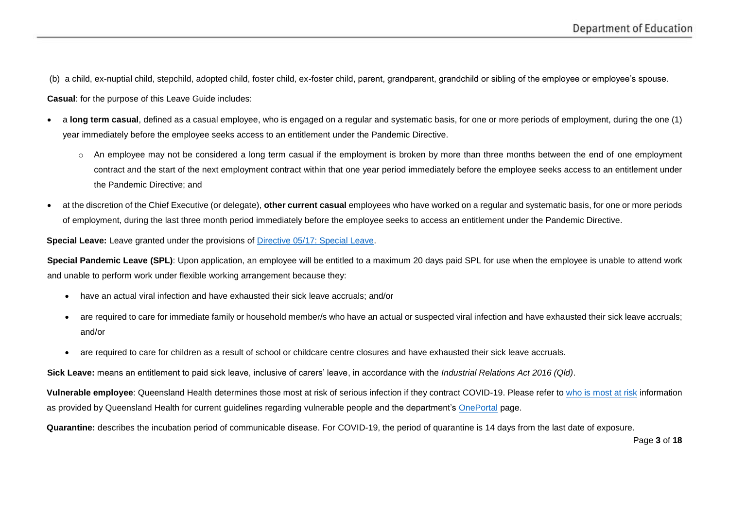(b) a child, ex-nuptial child, stepchild, adopted child, foster child, ex-foster child, parent, grandparent, grandchild or sibling of the employee or employee's spouse.

**Casual**: for the purpose of this Leave Guide includes:

- a **long term casual**, defined as a casual employee, who is engaged on a regular and systematic basis, for one or more periods of employment, during the one (1) year immediately before the employee seeks access to an entitlement under the Pandemic Directive.
	- $\circ$  An employee may not be considered a long term casual if the employment is broken by more than three months between the end of one employment contract and the start of the next employment contract within that one year period immediately before the employee seeks access to an entitlement under the Pandemic Directive; and
- at the discretion of the Chief Executive (or delegate), **other current casual** employees who have worked on a regular and systematic basis, for one or more periods of employment, during the last three month period immediately before the employee seeks to access an entitlement under the Pandemic Directive.

**Special Leave:** Leave granted under the provisions of [Directive 05/17: Special Leave.](https://www.forgov.qld.gov.au/system/files/documents/2017-05-special-leave.pdf?v=1490331635)

**Special Pandemic Leave (SPL)**: Upon application, an employee will be entitled to a maximum 20 days paid SPL for use when the employee is unable to attend work and unable to perform work under flexible working arrangement because they:

- have an actual viral infection and have exhausted their sick leave accruals; and/or
- are required to care for immediate family or household member/s who have an actual or suspected viral infection and have exhausted their sick leave accruals; and/or
- are required to care for children as a result of school or childcare centre closures and have exhausted their sick leave accruals.

**Sick Leave:** means an entitlement to paid sick leave, inclusive of carers' leave, in accordance with the *Industrial Relations Act 2016 (Qld)*.

**Vulnerable employee**: Queensland Health determines those most at risk of serious infection if they contract COVID-19. Please refer to [who is most at risk](http://conditions.health.qld.gov.au/HealthCondition/condition/14/217/838/novel-coronavirus) information as provided by Queensland Health for current guidelines regarding vulnerable people and the department's [OnePortal](https://intranet.qed.qld.gov.au/Services/CommunicationMarketing/coronavirus/hr-information/Pages/vulnerable-people.aspx) page.

**Quarantine:** describes the incubation period of communicable disease. For COVID-19, the period of quarantine is 14 days from the last date of exposure.

Page **3** of **18**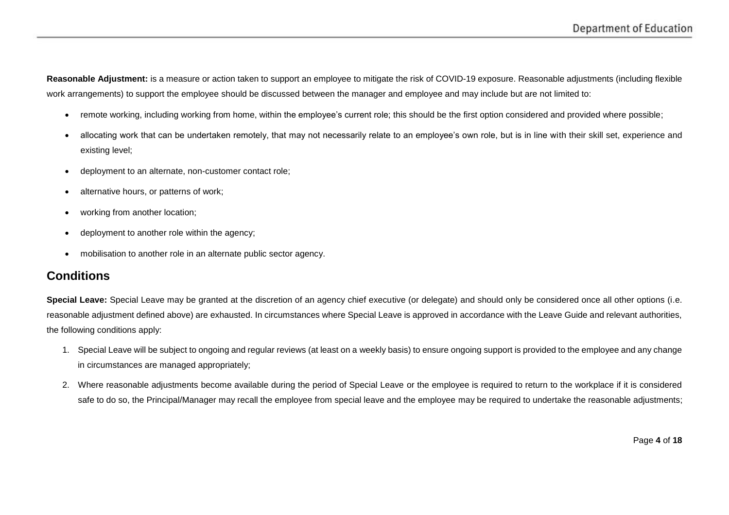**Reasonable Adjustment:** is a measure or action taken to support an employee to mitigate the risk of COVID-19 exposure. Reasonable adjustments (including flexible work arrangements) to support the employee should be discussed between the manager and employee and may include but are not limited to:

- remote working, including working from home, within the employee's current role; this should be the first option considered and provided where possible;
- allocating work that can be undertaken remotely, that may not necessarily relate to an employee's own role, but is in line with their skill set, experience and existing level;
- deployment to an alternate, non-customer contact role;
- alternative hours, or patterns of work;
- working from another location;
- deployment to another role within the agency;
- mobilisation to another role in an alternate public sector agency.

### **Conditions**

**Special Leave:** Special Leave may be granted at the discretion of an agency chief executive (or delegate) and should only be considered once all other options (i.e. reasonable adjustment defined above) are exhausted. In circumstances where Special Leave is approved in accordance with the Leave Guide and relevant authorities, the following conditions apply:

- 1. Special Leave will be subject to ongoing and regular reviews (at least on a weekly basis) to ensure ongoing support is provided to the employee and any change in circumstances are managed appropriately;
- 2. Where reasonable adjustments become available during the period of Special Leave or the employee is required to return to the workplace if it is considered safe to do so, the Principal/Manager may recall the employee from special leave and the employee may be required to undertake the reasonable adjustments;

Page **4** of **18**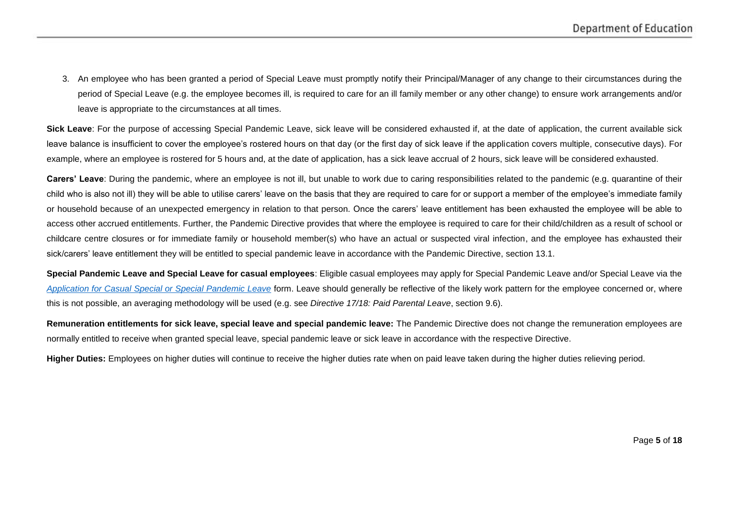3. An employee who has been granted a period of Special Leave must promptly notify their Principal/Manager of any change to their circumstances during the period of Special Leave (e.g. the employee becomes ill, is required to care for an ill family member or any other change) to ensure work arrangements and/or leave is appropriate to the circumstances at all times.

**Sick Leave**: For the purpose of accessing Special Pandemic Leave, sick leave will be considered exhausted if, at the date of application, the current available sick leave balance is insufficient to cover the employee's rostered hours on that day (or the first day of sick leave if the application covers multiple, consecutive days). For example, where an employee is rostered for 5 hours and, at the date of application, has a sick leave accrual of 2 hours, sick leave will be considered exhausted.

**Carers' Leave**: During the pandemic, where an employee is not ill, but unable to work due to caring responsibilities related to the pandemic (e.g. quarantine of their child who is also not ill) they will be able to utilise carers' leave on the basis that they are required to care for or support a member of the employee's immediate family or household because of an unexpected emergency in relation to that person. Once the carers' leave entitlement has been exhausted the employee will be able to access other accrued entitlements. Further, the Pandemic Directive provides that where the employee is required to care for their child/children as a result of school or childcare centre closures or for immediate family or household member(s) who have an actual or suspected viral infection, and the employee has exhausted their sick/carers' leave entitlement they will be entitled to special pandemic leave in accordance with the Pandemic Directive, section 13.1.

**Special Pandemic Leave and Special Leave for casual employees**: Eligible casual employees may apply for Special Pandemic Leave and/or Special Leave via the *[Application for Casual Special or Special Pandemic Leave](https://intranet.qed.qld.gov.au/Services/HumanResources/Forms/Documents/application-for-casual-special-or-special-pandemic-leave.xlsm)* form. Leave should generally be reflective of the likely work pattern for the employee concerned or, where this is not possible, an averaging methodology will be used (e.g. see *Directive 17/18: Paid Parental Leave*, section 9.6).

**Remuneration entitlements for sick leave, special leave and special pandemic leave:** The Pandemic Directive does not change the remuneration employees are normally entitled to receive when granted special leave, special pandemic leave or sick leave in accordance with the respective Directive.

**Higher Duties:** Employees on higher duties will continue to receive the higher duties rate when on paid leave taken during the higher duties relieving period.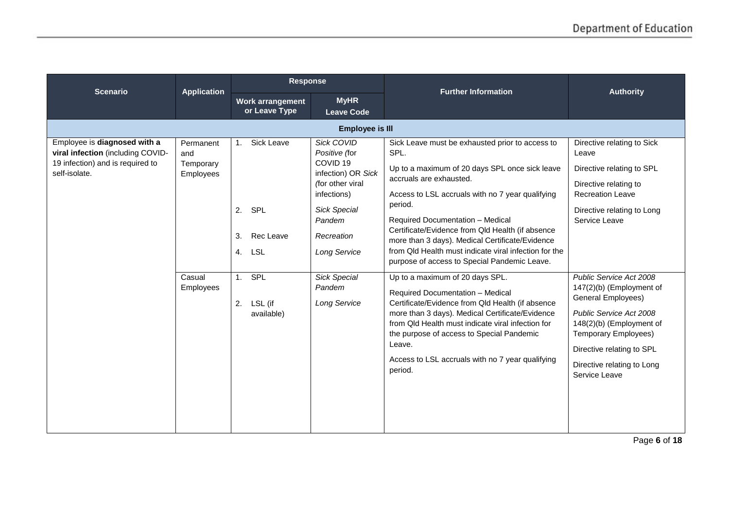| <b>Scenario</b>                                                                                                        | <b>Application</b>                                                | Response                                                                                                  |                                                                                                                                                                                                                                                  | <b>Further Information</b>                                                                                                                                                                                                                                                                                                                                                                                                                                                                                                                                                                                                                                                                                                                                                                                       | <b>Authority</b>                                                                                                                                                                                                                                                                                                                                                                                            |
|------------------------------------------------------------------------------------------------------------------------|-------------------------------------------------------------------|-----------------------------------------------------------------------------------------------------------|--------------------------------------------------------------------------------------------------------------------------------------------------------------------------------------------------------------------------------------------------|------------------------------------------------------------------------------------------------------------------------------------------------------------------------------------------------------------------------------------------------------------------------------------------------------------------------------------------------------------------------------------------------------------------------------------------------------------------------------------------------------------------------------------------------------------------------------------------------------------------------------------------------------------------------------------------------------------------------------------------------------------------------------------------------------------------|-------------------------------------------------------------------------------------------------------------------------------------------------------------------------------------------------------------------------------------------------------------------------------------------------------------------------------------------------------------------------------------------------------------|
|                                                                                                                        |                                                                   | Work arrangement<br>or Leave Type                                                                         | <b>MyHR</b><br><b>Leave Code</b>                                                                                                                                                                                                                 |                                                                                                                                                                                                                                                                                                                                                                                                                                                                                                                                                                                                                                                                                                                                                                                                                  |                                                                                                                                                                                                                                                                                                                                                                                                             |
|                                                                                                                        |                                                                   |                                                                                                           | <b>Employee is III</b>                                                                                                                                                                                                                           |                                                                                                                                                                                                                                                                                                                                                                                                                                                                                                                                                                                                                                                                                                                                                                                                                  |                                                                                                                                                                                                                                                                                                                                                                                                             |
| Employee is diagnosed with a<br>viral infection (including COVID-<br>19 infection) and is required to<br>self-isolate. | Permanent<br>and<br>Temporary<br>Employees<br>Casual<br>Employees | Sick Leave<br>1 <sup>1</sup><br>2. SPL<br>3.<br>Rec Leave<br>4. LSL<br>1. SPL<br>2. LSL (if<br>available) | <b>Sick COVID</b><br>Positive (for<br>COVID <sub>19</sub><br>infection) OR Sick<br>(for other viral<br>infections)<br><b>Sick Special</b><br>Pandem<br>Recreation<br><b>Long Service</b><br><b>Sick Special</b><br>Pandem<br><b>Long Service</b> | Sick Leave must be exhausted prior to access to<br>SPL.<br>Up to a maximum of 20 days SPL once sick leave<br>accruals are exhausted.<br>Access to LSL accruals with no 7 year qualifying<br>period.<br>Required Documentation - Medical<br>Certificate/Evidence from Qld Health (if absence<br>more than 3 days). Medical Certificate/Evidence<br>from Old Health must indicate viral infection for the<br>purpose of access to Special Pandemic Leave.<br>Up to a maximum of 20 days SPL.<br>Required Documentation - Medical<br>Certificate/Evidence from Qld Health (if absence<br>more than 3 days). Medical Certificate/Evidence<br>from Old Health must indicate viral infection for<br>the purpose of access to Special Pandemic<br>Leave.<br>Access to LSL accruals with no 7 year qualifying<br>period. | Directive relating to Sick<br>Leave<br>Directive relating to SPL<br>Directive relating to<br><b>Recreation Leave</b><br>Directive relating to Long<br>Service Leave<br>Public Service Act 2008<br>147(2)(b) (Employment of<br>General Employees)<br>Public Service Act 2008<br>148(2)(b) (Employment of<br>Temporary Employees)<br>Directive relating to SPL<br>Directive relating to Long<br>Service Leave |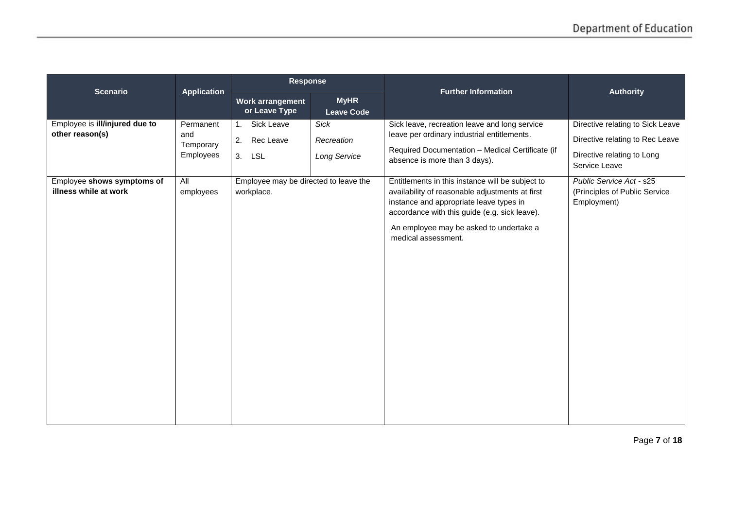| <b>Scenario</b>                                                                 |                                                   | <b>Response</b>                                                                        |                                                  | <b>Further Information</b>                                                                                                                                                                                                            | <b>Authority</b>                                                                                                                               |
|---------------------------------------------------------------------------------|---------------------------------------------------|----------------------------------------------------------------------------------------|--------------------------------------------------|---------------------------------------------------------------------------------------------------------------------------------------------------------------------------------------------------------------------------------------|------------------------------------------------------------------------------------------------------------------------------------------------|
|                                                                                 | <b>Application</b>                                | Work arrangement<br>or Leave Type                                                      | <b>MyHR</b><br><b>Leave Code</b>                 |                                                                                                                                                                                                                                       |                                                                                                                                                |
| Employee is ill/injured due to<br>other reason(s)<br>Employee shows symptoms of | Permanent<br>and<br>Temporary<br>Employees<br>All | Sick Leave<br>1.<br>Rec Leave<br>2.<br>3. LSL<br>Employee may be directed to leave the | <b>Sick</b><br>Recreation<br><b>Long Service</b> | Sick leave, recreation leave and long service<br>leave per ordinary industrial entitlements.<br>Required Documentation - Medical Certificate (if<br>absence is more than 3 days).<br>Entitlements in this instance will be subject to | Directive relating to Sick Leave<br>Directive relating to Rec Leave<br>Directive relating to Long<br>Service Leave<br>Public Service Act - s25 |
| illness while at work                                                           | employees                                         | workplace.                                                                             |                                                  | availability of reasonable adjustments at first<br>instance and appropriate leave types in<br>accordance with this guide (e.g. sick leave).<br>An employee may be asked to undertake a<br>medical assessment.                         | (Principles of Public Service<br>Employment)                                                                                                   |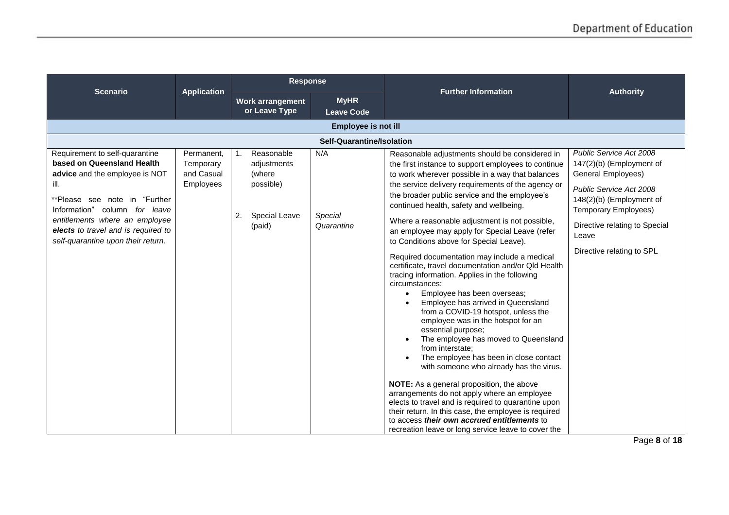| <b>Scenario</b>                                                                                                                                                                                                                                                                         |                                                           | <b>Response</b>                                                                                            |                                  | <b>Further Information</b>                                                                                                                                                                                                                                                                                                                                                                                                                                                                                                                                                                                                                                                                                                                                                                                                                                                                                                                                                                                                                                                                                                                                                                                                                                                                  | <b>Authority</b>                                                                                                                                                                                                                         |
|-----------------------------------------------------------------------------------------------------------------------------------------------------------------------------------------------------------------------------------------------------------------------------------------|-----------------------------------------------------------|------------------------------------------------------------------------------------------------------------|----------------------------------|---------------------------------------------------------------------------------------------------------------------------------------------------------------------------------------------------------------------------------------------------------------------------------------------------------------------------------------------------------------------------------------------------------------------------------------------------------------------------------------------------------------------------------------------------------------------------------------------------------------------------------------------------------------------------------------------------------------------------------------------------------------------------------------------------------------------------------------------------------------------------------------------------------------------------------------------------------------------------------------------------------------------------------------------------------------------------------------------------------------------------------------------------------------------------------------------------------------------------------------------------------------------------------------------|------------------------------------------------------------------------------------------------------------------------------------------------------------------------------------------------------------------------------------------|
|                                                                                                                                                                                                                                                                                         | <b>Application</b>                                        | Work arrangement<br>or Leave Type                                                                          | <b>MyHR</b><br><b>Leave Code</b> |                                                                                                                                                                                                                                                                                                                                                                                                                                                                                                                                                                                                                                                                                                                                                                                                                                                                                                                                                                                                                                                                                                                                                                                                                                                                                             |                                                                                                                                                                                                                                          |
|                                                                                                                                                                                                                                                                                         |                                                           |                                                                                                            | <b>Employee is not ill</b>       |                                                                                                                                                                                                                                                                                                                                                                                                                                                                                                                                                                                                                                                                                                                                                                                                                                                                                                                                                                                                                                                                                                                                                                                                                                                                                             |                                                                                                                                                                                                                                          |
|                                                                                                                                                                                                                                                                                         |                                                           |                                                                                                            | Self-Quarantine/Isolation        |                                                                                                                                                                                                                                                                                                                                                                                                                                                                                                                                                                                                                                                                                                                                                                                                                                                                                                                                                                                                                                                                                                                                                                                                                                                                                             |                                                                                                                                                                                                                                          |
| Requirement to self-quarantine<br>based on Queensland Health<br>advice and the employee is NOT<br>ill.<br>**Please see note in "Further<br>Information" column for leave<br>entitlements where an employee<br>elects to travel and is required to<br>self-quarantine upon their return. | Permanent,<br>Temporary<br>and Casual<br><b>Employees</b> | Reasonable<br>$\mathbf{1}$ .<br>adjustments<br>(where<br>possible)<br>2.<br><b>Special Leave</b><br>(paid) | N/A<br>Special<br>Quarantine     | Reasonable adjustments should be considered in<br>the first instance to support employees to continue<br>to work wherever possible in a way that balances<br>the service delivery requirements of the agency or<br>the broader public service and the employee's<br>continued health, safety and wellbeing.<br>Where a reasonable adjustment is not possible,<br>an employee may apply for Special Leave (refer<br>to Conditions above for Special Leave).<br>Required documentation may include a medical<br>certificate, travel documentation and/or Qld Health<br>tracing information. Applies in the following<br>circumstances:<br>Employee has been overseas;<br>$\bullet$<br>Employee has arrived in Queensland<br>from a COVID-19 hotspot, unless the<br>employee was in the hotspot for an<br>essential purpose;<br>The employee has moved to Queensland<br>from interstate;<br>The employee has been in close contact<br>with someone who already has the virus.<br>NOTE: As a general proposition, the above<br>arrangements do not apply where an employee<br>elects to travel and is required to quarantine upon<br>their return. In this case, the employee is required<br>to access their own accrued entitlements to<br>recreation leave or long service leave to cover the | Public Service Act 2008<br>$147(2)(b)$ (Employment of<br>General Employees)<br>Public Service Act 2008<br>148(2)(b) (Employment of<br><b>Temporary Employees)</b><br>Directive relating to Special<br>Leave<br>Directive relating to SPL |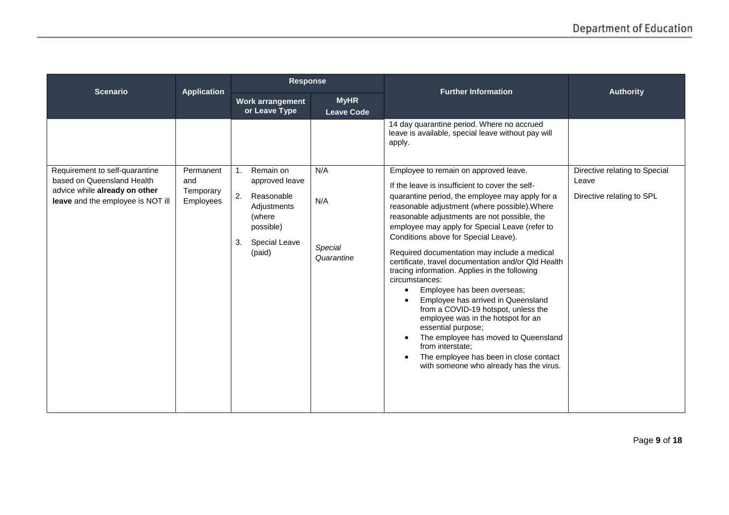| <b>Scenario</b>                                                                                                                    | <b>Application</b>                         | <b>Response</b>                                                                                                                     |                                     | <b>Further Information</b>                                                                                                                                                                                                                                                                                                                                                                                                                                                                                                                                                                                                                                                                                                                                                                                                                             | <b>Authority</b>                                                    |
|------------------------------------------------------------------------------------------------------------------------------------|--------------------------------------------|-------------------------------------------------------------------------------------------------------------------------------------|-------------------------------------|--------------------------------------------------------------------------------------------------------------------------------------------------------------------------------------------------------------------------------------------------------------------------------------------------------------------------------------------------------------------------------------------------------------------------------------------------------------------------------------------------------------------------------------------------------------------------------------------------------------------------------------------------------------------------------------------------------------------------------------------------------------------------------------------------------------------------------------------------------|---------------------------------------------------------------------|
|                                                                                                                                    |                                            | Work arrangement<br>or Leave Type                                                                                                   | <b>MyHR</b><br><b>Leave Code</b>    |                                                                                                                                                                                                                                                                                                                                                                                                                                                                                                                                                                                                                                                                                                                                                                                                                                                        |                                                                     |
|                                                                                                                                    |                                            |                                                                                                                                     |                                     | 14 day quarantine period. Where no accrued<br>leave is available, special leave without pay will<br>apply.                                                                                                                                                                                                                                                                                                                                                                                                                                                                                                                                                                                                                                                                                                                                             |                                                                     |
| Requirement to self-quarantine<br>based on Queensland Health<br>advice while already on other<br>leave and the employee is NOT ill | Permanent<br>and<br>Temporary<br>Employees | Remain on<br>1.<br>approved leave<br>2.<br>Reasonable<br>Adjustments<br>(where<br>possible)<br>3.<br><b>Special Leave</b><br>(paid) | N/A<br>N/A<br>Special<br>Quarantine | Employee to remain on approved leave.<br>If the leave is insufficient to cover the self-<br>quarantine period, the employee may apply for a<br>reasonable adjustment (where possible). Where<br>reasonable adjustments are not possible, the<br>employee may apply for Special Leave (refer to<br>Conditions above for Special Leave).<br>Required documentation may include a medical<br>certificate, travel documentation and/or Qld Health<br>tracing information. Applies in the following<br>circumstances:<br>Employee has been overseas;<br>$\bullet$<br>Employee has arrived in Queensland<br>from a COVID-19 hotspot, unless the<br>employee was in the hotspot for an<br>essential purpose;<br>The employee has moved to Queensland<br>from interstate:<br>The employee has been in close contact<br>with someone who already has the virus. | Directive relating to Special<br>Leave<br>Directive relating to SPL |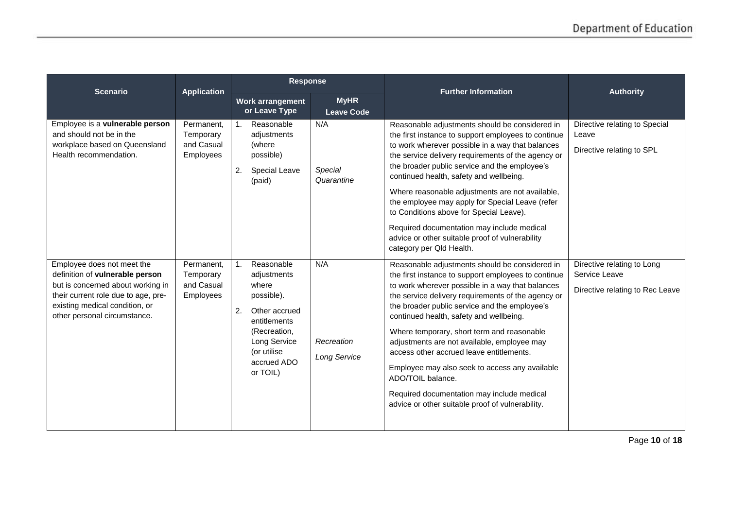| <b>Scenario</b>                                                                                                                                                               | <b>Application</b>                                               | <b>Response</b>                                                                                                                                     |                                     | <b>Further Information</b>                                                                                                                                                                                                                                                                                                                                                                                                                                                                                                                                                                                                                  | <b>Authority</b>                                                                                  |
|-------------------------------------------------------------------------------------------------------------------------------------------------------------------------------|------------------------------------------------------------------|-----------------------------------------------------------------------------------------------------------------------------------------------------|-------------------------------------|---------------------------------------------------------------------------------------------------------------------------------------------------------------------------------------------------------------------------------------------------------------------------------------------------------------------------------------------------------------------------------------------------------------------------------------------------------------------------------------------------------------------------------------------------------------------------------------------------------------------------------------------|---------------------------------------------------------------------------------------------------|
|                                                                                                                                                                               |                                                                  | <b>Work arrangement</b><br>or Leave Type                                                                                                            | <b>MyHR</b><br><b>Leave Code</b>    |                                                                                                                                                                                                                                                                                                                                                                                                                                                                                                                                                                                                                                             |                                                                                                   |
| Employee is a vulnerable person<br>and should not be in the<br>workplace based on Queensland<br>Health recommendation.<br>Employee does not meet the                          | Permanent.<br>Temporary<br>and Casual<br>Employees<br>Permanent, | $\mathbf{1}$ .<br>Reasonable<br>adjustments<br>(where<br>possible)<br>2.<br><b>Special Leave</b><br>(paid)<br>Reasonable<br>1 <sub>1</sub>          | N/A<br>Special<br>Quarantine<br>N/A | Reasonable adjustments should be considered in<br>the first instance to support employees to continue<br>to work wherever possible in a way that balances<br>the service delivery requirements of the agency or<br>the broader public service and the employee's<br>continued health, safety and wellbeing.<br>Where reasonable adjustments are not available,<br>the employee may apply for Special Leave (refer<br>to Conditions above for Special Leave).<br>Required documentation may include medical<br>advice or other suitable proof of vulnerability<br>category per Qld Health.<br>Reasonable adjustments should be considered in | Directive relating to Special<br>Leave<br>Directive relating to SPL<br>Directive relating to Long |
| definition of vulnerable person<br>but is concerned about working in<br>their current role due to age, pre-<br>existing medical condition, or<br>other personal circumstance. | Temporary<br>and Casual<br>Employees                             | adjustments<br>where<br>possible).<br>2.<br>Other accrued<br>entitlements<br>(Recreation,<br>Long Service<br>(or utilise<br>accrued ADO<br>or TOIL) | Recreation<br><b>Long Service</b>   | the first instance to support employees to continue<br>to work wherever possible in a way that balances<br>the service delivery requirements of the agency or<br>the broader public service and the employee's<br>continued health, safety and wellbeing.<br>Where temporary, short term and reasonable<br>adjustments are not available, employee may<br>access other accrued leave entitlements.<br>Employee may also seek to access any available<br>ADO/TOIL balance.<br>Required documentation may include medical<br>advice or other suitable proof of vulnerability.                                                                 | Service Leave<br>Directive relating to Rec Leave                                                  |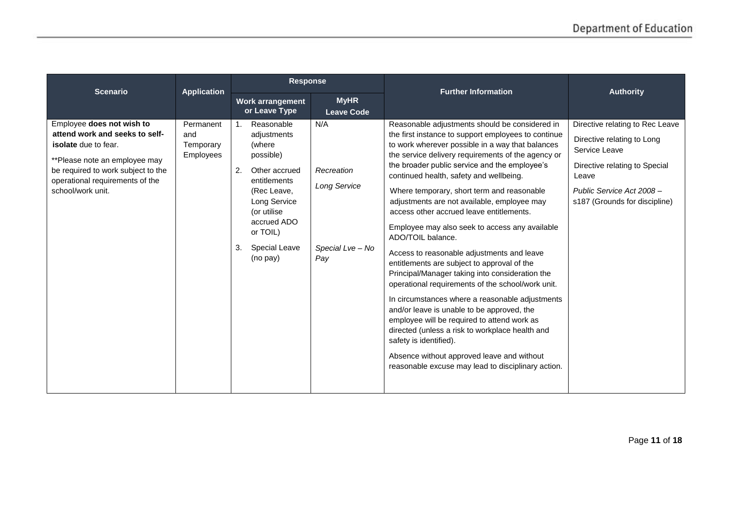| <b>Scenario</b>                                                                                                                                                                                                           | <b>Application</b>                                | <b>Response</b>                                                                                                                                                                                                              |                                                                     | <b>Further Information</b>                                                                                                                                                                                                                                                                                                                                                                                                                                                                                                                                                                                                                                                                                                                                                                                                                                                                                                                                                                                                                                        | <b>Authority</b>                                                                                                                                                                       |
|---------------------------------------------------------------------------------------------------------------------------------------------------------------------------------------------------------------------------|---------------------------------------------------|------------------------------------------------------------------------------------------------------------------------------------------------------------------------------------------------------------------------------|---------------------------------------------------------------------|-------------------------------------------------------------------------------------------------------------------------------------------------------------------------------------------------------------------------------------------------------------------------------------------------------------------------------------------------------------------------------------------------------------------------------------------------------------------------------------------------------------------------------------------------------------------------------------------------------------------------------------------------------------------------------------------------------------------------------------------------------------------------------------------------------------------------------------------------------------------------------------------------------------------------------------------------------------------------------------------------------------------------------------------------------------------|----------------------------------------------------------------------------------------------------------------------------------------------------------------------------------------|
|                                                                                                                                                                                                                           |                                                   | Work arrangement<br>or Leave Type                                                                                                                                                                                            | <b>MyHR</b><br><b>Leave Code</b>                                    |                                                                                                                                                                                                                                                                                                                                                                                                                                                                                                                                                                                                                                                                                                                                                                                                                                                                                                                                                                                                                                                                   |                                                                                                                                                                                        |
| Employee does not wish to<br>attend work and seeks to self-<br><b>isolate</b> due to fear.<br>**Please note an employee may<br>be required to work subject to the<br>operational requirements of the<br>school/work unit. | Permanent<br>and<br>Temporary<br><b>Employees</b> | Reasonable<br>$\mathbf{1}$ .<br>adjustments<br>(where<br>possible)<br>2.<br>Other accrued<br>entitlements<br>(Rec Leave,<br>Long Service<br>(or utilise<br>accrued ADO<br>or TOIL)<br>3.<br><b>Special Leave</b><br>(no pay) | N/A<br>Recreation<br><b>Long Service</b><br>Special Lve - No<br>Pay | Reasonable adjustments should be considered in<br>the first instance to support employees to continue<br>to work wherever possible in a way that balances<br>the service delivery requirements of the agency or<br>the broader public service and the employee's<br>continued health, safety and wellbeing.<br>Where temporary, short term and reasonable<br>adjustments are not available, employee may<br>access other accrued leave entitlements.<br>Employee may also seek to access any available<br>ADO/TOIL balance.<br>Access to reasonable adjustments and leave<br>entitlements are subject to approval of the<br>Principal/Manager taking into consideration the<br>operational requirements of the school/work unit.<br>In circumstances where a reasonable adjustments<br>and/or leave is unable to be approved, the<br>employee will be required to attend work as<br>directed (unless a risk to workplace health and<br>safety is identified).<br>Absence without approved leave and without<br>reasonable excuse may lead to disciplinary action. | Directive relating to Rec Leave<br>Directive relating to Long<br>Service Leave<br>Directive relating to Special<br>Leave<br>Public Service Act 2008 -<br>s187 (Grounds for discipline) |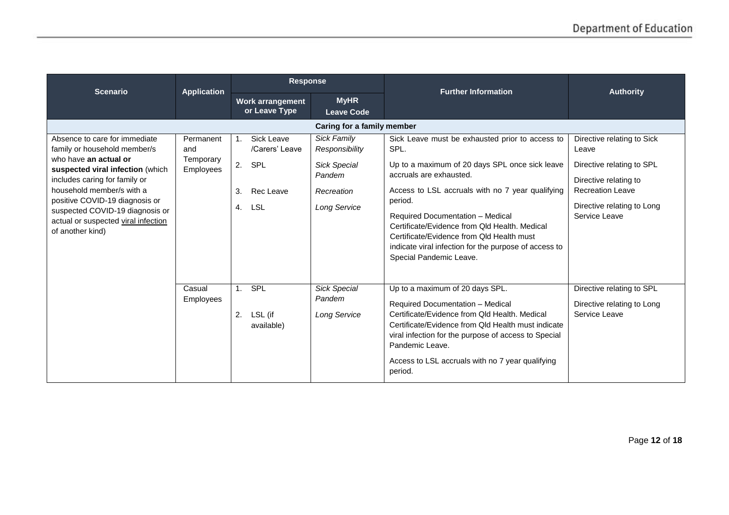| <b>Scenario</b>                                                                                                                                                                                                                                                                                                          | <b>Application</b>                                | <b>Response</b>                                                                                 |                                                                                                     | <b>Further Information</b>                                                                                                                                                                                                                                                                                                                                                                                                | <b>Authority</b>                                                                                                                                                    |
|--------------------------------------------------------------------------------------------------------------------------------------------------------------------------------------------------------------------------------------------------------------------------------------------------------------------------|---------------------------------------------------|-------------------------------------------------------------------------------------------------|-----------------------------------------------------------------------------------------------------|---------------------------------------------------------------------------------------------------------------------------------------------------------------------------------------------------------------------------------------------------------------------------------------------------------------------------------------------------------------------------------------------------------------------------|---------------------------------------------------------------------------------------------------------------------------------------------------------------------|
|                                                                                                                                                                                                                                                                                                                          |                                                   | <b>Work arrangement</b><br>or Leave Type                                                        | <b>MyHR</b><br><b>Leave Code</b>                                                                    |                                                                                                                                                                                                                                                                                                                                                                                                                           |                                                                                                                                                                     |
|                                                                                                                                                                                                                                                                                                                          |                                                   |                                                                                                 | Caring for a family member                                                                          |                                                                                                                                                                                                                                                                                                                                                                                                                           |                                                                                                                                                                     |
| Absence to care for immediate<br>family or household member/s<br>who have an actual or<br>suspected viral infection (which<br>includes caring for family or<br>household member/s with a<br>positive COVID-19 diagnosis or<br>suspected COVID-19 diagnosis or<br>actual or suspected viral infection<br>of another kind) | Permanent<br>and<br>Temporary<br><b>Employees</b> | Sick Leave<br>$\mathbf{1}$ .<br>/Carers' Leave<br>2. SPL<br>3.<br>Rec Leave<br>4.<br><b>LSL</b> | Sick Family<br>Responsibility<br><b>Sick Special</b><br>Pandem<br>Recreation<br><b>Long Service</b> | Sick Leave must be exhausted prior to access to<br>SPL.<br>Up to a maximum of 20 days SPL once sick leave<br>accruals are exhausted.<br>Access to LSL accruals with no 7 year qualifying<br>period.<br>Required Documentation - Medical<br>Certificate/Evidence from Qld Health, Medical<br>Certificate/Evidence from Qld Health must<br>indicate viral infection for the purpose of access to<br>Special Pandemic Leave. | Directive relating to Sick<br>Leave<br>Directive relating to SPL<br>Directive relating to<br><b>Recreation Leave</b><br>Directive relating to Long<br>Service Leave |
|                                                                                                                                                                                                                                                                                                                          | Casual<br>Employees                               | <b>SPL</b><br>1 <sub>1</sub><br>LSL (if<br>2.<br>available)                                     | <b>Sick Special</b><br>Pandem<br>Long Service                                                       | Up to a maximum of 20 days SPL.<br>Required Documentation - Medical<br>Certificate/Evidence from Old Health, Medical<br>Certificate/Evidence from Qld Health must indicate<br>viral infection for the purpose of access to Special<br>Pandemic Leave.<br>Access to LSL accruals with no 7 year qualifying<br>period.                                                                                                      | Directive relating to SPL<br>Directive relating to Long<br>Service Leave                                                                                            |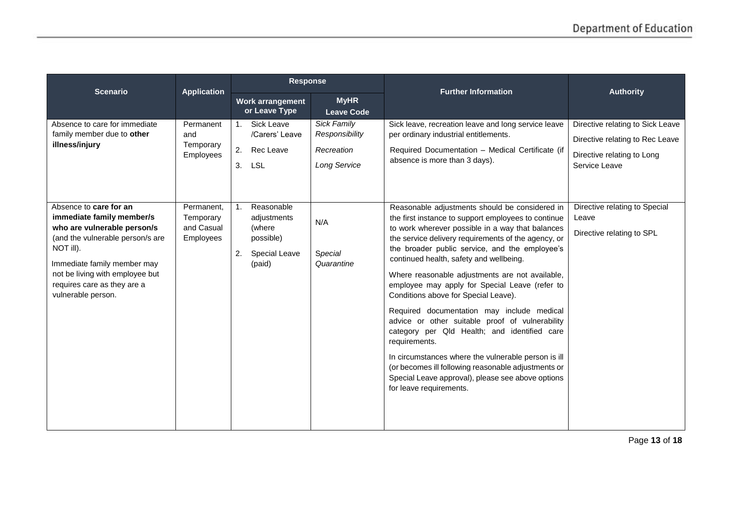| <b>Scenario</b>                                                                                                                                                                                                                                            | <b>Application</b>                                 | <b>Response</b>                                                                                     |                                                                    | <b>Further Information</b>                                                                                                                                                                                                                                                                                                                                                                                                                                                                                                                                                                                                                                                                                                                                                                                                 | <b>Authority</b>                                                                                                   |
|------------------------------------------------------------------------------------------------------------------------------------------------------------------------------------------------------------------------------------------------------------|----------------------------------------------------|-----------------------------------------------------------------------------------------------------|--------------------------------------------------------------------|----------------------------------------------------------------------------------------------------------------------------------------------------------------------------------------------------------------------------------------------------------------------------------------------------------------------------------------------------------------------------------------------------------------------------------------------------------------------------------------------------------------------------------------------------------------------------------------------------------------------------------------------------------------------------------------------------------------------------------------------------------------------------------------------------------------------------|--------------------------------------------------------------------------------------------------------------------|
|                                                                                                                                                                                                                                                            |                                                    | Work arrangement<br>or Leave Type                                                                   | <b>MyHR</b><br><b>Leave Code</b>                                   |                                                                                                                                                                                                                                                                                                                                                                                                                                                                                                                                                                                                                                                                                                                                                                                                                            |                                                                                                                    |
| Absence to care for immediate<br>family member due to other<br>illness/injury                                                                                                                                                                              | Permanent<br>and<br>Temporary<br>Employees         | <b>Sick Leave</b><br>1.<br>/Carers' Leave<br>2.<br>Rec Leave<br>3. LSL                              | Sick Family<br>Responsibility<br>Recreation<br><b>Long Service</b> | Sick leave, recreation leave and long service leave<br>per ordinary industrial entitlements.<br>Required Documentation - Medical Certificate (if<br>absence is more than 3 days).                                                                                                                                                                                                                                                                                                                                                                                                                                                                                                                                                                                                                                          | Directive relating to Sick Leave<br>Directive relating to Rec Leave<br>Directive relating to Long<br>Service Leave |
| Absence to care for an<br>immediate family member/s<br>who are vulnerable person/s<br>(and the vulnerable person/s are<br>NOT ill).<br>Immediate family member may<br>not be living with employee but<br>requires care as they are a<br>vulnerable person. | Permanent,<br>Temporary<br>and Casual<br>Employees | Reasonable<br>1 <sub>1</sub><br>adjustments<br>(where<br>possible)<br>Special Leave<br>2.<br>(paid) | N/A<br>Special<br>Quarantine                                       | Reasonable adjustments should be considered in<br>the first instance to support employees to continue<br>to work wherever possible in a way that balances<br>the service delivery requirements of the agency, or<br>the broader public service, and the employee's<br>continued health, safety and wellbeing.<br>Where reasonable adjustments are not available,<br>employee may apply for Special Leave (refer to<br>Conditions above for Special Leave).<br>Required documentation may include medical<br>advice or other suitable proof of vulnerability<br>category per Qld Health; and identified care<br>requirements.<br>In circumstances where the vulnerable person is ill<br>(or becomes ill following reasonable adjustments or<br>Special Leave approval), please see above options<br>for leave requirements. | Directive relating to Special<br>Leave<br>Directive relating to SPL                                                |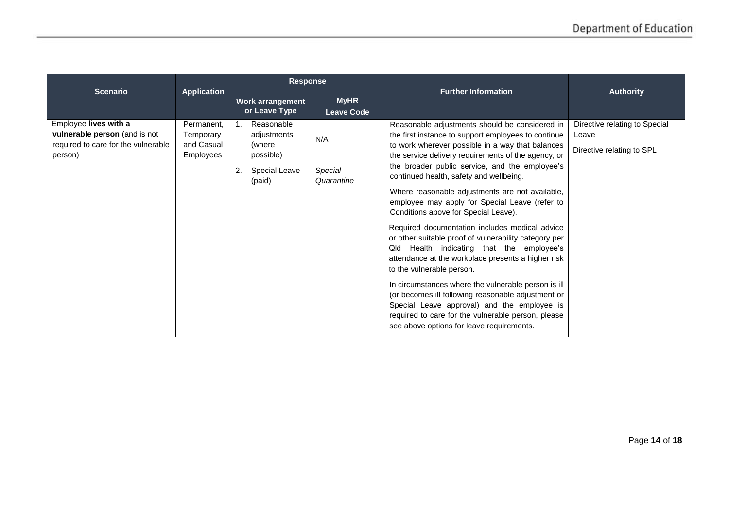| <b>Scenario</b>                                                                                          | <b>Application</b>                                 | <b>Response</b>                                                                   |                                  | <b>Further Information</b>                                                                                                                                                                                                                                                                                                                                                                                                                                                                                                                                                                                                                                                                                                                                                                                                                                                                                                                                              | <b>Authority</b>                                                    |
|----------------------------------------------------------------------------------------------------------|----------------------------------------------------|-----------------------------------------------------------------------------------|----------------------------------|-------------------------------------------------------------------------------------------------------------------------------------------------------------------------------------------------------------------------------------------------------------------------------------------------------------------------------------------------------------------------------------------------------------------------------------------------------------------------------------------------------------------------------------------------------------------------------------------------------------------------------------------------------------------------------------------------------------------------------------------------------------------------------------------------------------------------------------------------------------------------------------------------------------------------------------------------------------------------|---------------------------------------------------------------------|
|                                                                                                          |                                                    | <b>Work arrangement</b><br>or Leave Type                                          | <b>MyHR</b><br><b>Leave Code</b> |                                                                                                                                                                                                                                                                                                                                                                                                                                                                                                                                                                                                                                                                                                                                                                                                                                                                                                                                                                         |                                                                     |
| Employee lives with a<br>vulnerable person (and is not<br>required to care for the vulnerable<br>person) | Permanent,<br>Temporary<br>and Casual<br>Employees | Reasonable<br>adjustments<br>(where<br>possible)<br>Special Leave<br>2.<br>(paid) | N/A<br>Special<br>Quarantine     | Reasonable adjustments should be considered in<br>the first instance to support employees to continue<br>to work wherever possible in a way that balances<br>the service delivery requirements of the agency, or<br>the broader public service, and the employee's<br>continued health, safety and wellbeing.<br>Where reasonable adjustments are not available,<br>employee may apply for Special Leave (refer to<br>Conditions above for Special Leave).<br>Required documentation includes medical advice<br>or other suitable proof of vulnerability category per<br>Health indicating that the employee's<br>Qld<br>attendance at the workplace presents a higher risk<br>to the vulnerable person.<br>In circumstances where the vulnerable person is ill<br>(or becomes ill following reasonable adjustment or<br>Special Leave approval) and the employee is<br>required to care for the vulnerable person, please<br>see above options for leave requirements. | Directive relating to Special<br>Leave<br>Directive relating to SPL |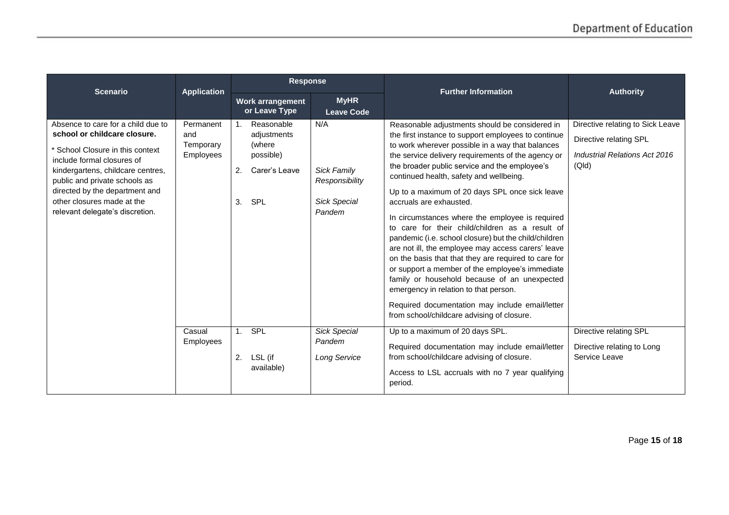| <b>Scenario</b>                                                                                                                                                                                                                                                                                               | <b>Application</b>                         | <b>Response</b>                                                                                        |                                                                              | <b>Further Information</b>                                                                                                                                                                                                                                                                                                                                                                                                                                                                                                                                                                                                                                                                                                                                                                                                                                                                                         | <b>Authority</b>                                                                                     |
|---------------------------------------------------------------------------------------------------------------------------------------------------------------------------------------------------------------------------------------------------------------------------------------------------------------|--------------------------------------------|--------------------------------------------------------------------------------------------------------|------------------------------------------------------------------------------|--------------------------------------------------------------------------------------------------------------------------------------------------------------------------------------------------------------------------------------------------------------------------------------------------------------------------------------------------------------------------------------------------------------------------------------------------------------------------------------------------------------------------------------------------------------------------------------------------------------------------------------------------------------------------------------------------------------------------------------------------------------------------------------------------------------------------------------------------------------------------------------------------------------------|------------------------------------------------------------------------------------------------------|
|                                                                                                                                                                                                                                                                                                               |                                            | Work arrangement<br>or Leave Type                                                                      | <b>MyHR</b><br><b>Leave Code</b>                                             |                                                                                                                                                                                                                                                                                                                                                                                                                                                                                                                                                                                                                                                                                                                                                                                                                                                                                                                    |                                                                                                      |
| Absence to care for a child due to<br>school or childcare closure.<br>* School Closure in this context<br>include formal closures of<br>kindergartens, childcare centres,<br>public and private schools as<br>directed by the department and<br>other closures made at the<br>relevant delegate's discretion. | Permanent<br>and<br>Temporary<br>Employees | Reasonable<br>1 <sub>1</sub><br>adjustments<br>(where<br>possible)<br>2.<br>Carer's Leave<br>SPL<br>3. | N/A<br><b>Sick Family</b><br>Responsibility<br><b>Sick Special</b><br>Pandem | Reasonable adjustments should be considered in<br>the first instance to support employees to continue<br>to work wherever possible in a way that balances<br>the service delivery requirements of the agency or<br>the broader public service and the employee's<br>continued health, safety and wellbeing.<br>Up to a maximum of 20 days SPL once sick leave<br>accruals are exhausted.<br>In circumstances where the employee is required<br>to care for their child/children as a result of<br>pandemic (i.e. school closure) but the child/children<br>are not ill, the employee may access carers' leave<br>on the basis that that they are required to care for<br>or support a member of the employee's immediate<br>family or household because of an unexpected<br>emergency in relation to that person.<br>Required documentation may include email/letter<br>from school/childcare advising of closure. | Directive relating to Sick Leave<br>Directive relating SPL<br>Industrial Relations Act 2016<br>(QId) |
|                                                                                                                                                                                                                                                                                                               | Casual<br><b>Employees</b>                 | <b>SPL</b><br>1 <sup>1</sup><br>2.<br>LSL (if<br>available)                                            | <b>Sick Special</b><br>Pandem<br><b>Long Service</b>                         | Up to a maximum of 20 days SPL.<br>Required documentation may include email/letter<br>from school/childcare advising of closure.<br>Access to LSL accruals with no 7 year qualifying<br>period.                                                                                                                                                                                                                                                                                                                                                                                                                                                                                                                                                                                                                                                                                                                    | Directive relating SPL<br>Directive relating to Long<br>Service Leave                                |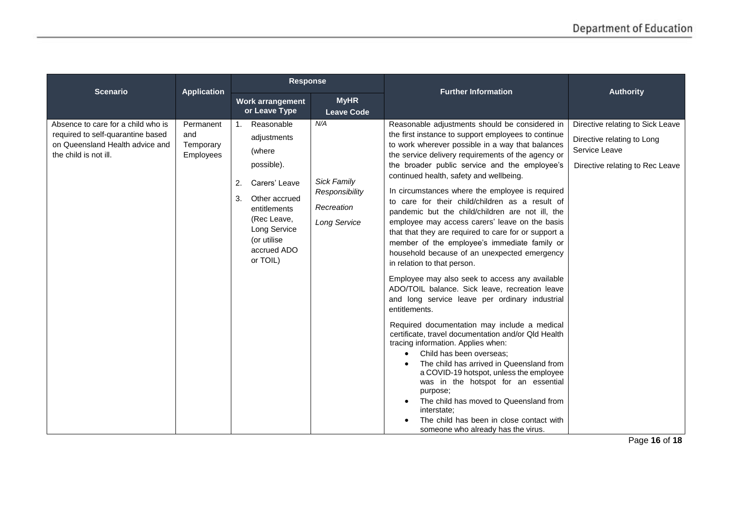|                                                                                                                                     |                                            | <b>Response</b>                                                                                                                                                                                            |                                                                                  | <b>Further Information</b>                                                                                                                                                                                                                                                                                                                                                                                                                                                                                                                                                                                                                                                                                                                                                                                                                                                                                                                                                                                                                                                                                                                                                                                                                                                                                                                          | <b>Authority</b>                                                                                                   |
|-------------------------------------------------------------------------------------------------------------------------------------|--------------------------------------------|------------------------------------------------------------------------------------------------------------------------------------------------------------------------------------------------------------|----------------------------------------------------------------------------------|-----------------------------------------------------------------------------------------------------------------------------------------------------------------------------------------------------------------------------------------------------------------------------------------------------------------------------------------------------------------------------------------------------------------------------------------------------------------------------------------------------------------------------------------------------------------------------------------------------------------------------------------------------------------------------------------------------------------------------------------------------------------------------------------------------------------------------------------------------------------------------------------------------------------------------------------------------------------------------------------------------------------------------------------------------------------------------------------------------------------------------------------------------------------------------------------------------------------------------------------------------------------------------------------------------------------------------------------------------|--------------------------------------------------------------------------------------------------------------------|
| <b>Scenario</b>                                                                                                                     | <b>Application</b>                         | Work arrangement<br>or Leave Type                                                                                                                                                                          | <b>MyHR</b><br><b>Leave Code</b>                                                 |                                                                                                                                                                                                                                                                                                                                                                                                                                                                                                                                                                                                                                                                                                                                                                                                                                                                                                                                                                                                                                                                                                                                                                                                                                                                                                                                                     |                                                                                                                    |
| Absence to care for a child who is<br>required to self-quarantine based<br>on Queensland Health advice and<br>the child is not ill. | Permanent<br>and<br>Temporary<br>Employees | Reasonable<br>1 <sub>1</sub><br>adjustments<br>(where<br>possible).<br>Carers' Leave<br>2.<br>3.<br>Other accrued<br>entitlements<br>(Rec Leave,<br>Long Service<br>(or utilise<br>accrued ADO<br>or TOIL) | N/A<br><b>Sick Family</b><br>Responsibility<br>Recreation<br><b>Long Service</b> | Reasonable adjustments should be considered in<br>the first instance to support employees to continue<br>to work wherever possible in a way that balances<br>the service delivery requirements of the agency or<br>the broader public service and the employee's<br>continued health, safety and wellbeing.<br>In circumstances where the employee is required<br>to care for their child/children as a result of<br>pandemic but the child/children are not ill, the<br>employee may access carers' leave on the basis<br>that that they are required to care for or support a<br>member of the employee's immediate family or<br>household because of an unexpected emergency<br>in relation to that person.<br>Employee may also seek to access any available<br>ADO/TOIL balance. Sick leave, recreation leave<br>and long service leave per ordinary industrial<br>entitlements.<br>Required documentation may include a medical<br>certificate, travel documentation and/or Qld Health<br>tracing information. Applies when:<br>Child has been overseas;<br>The child has arrived in Queensland from<br>a COVID-19 hotspot, unless the employee<br>was in the hotspot for an essential<br>purpose;<br>The child has moved to Queensland from<br>interstate;<br>The child has been in close contact with<br>someone who already has the virus. | Directive relating to Sick Leave<br>Directive relating to Long<br>Service Leave<br>Directive relating to Rec Leave |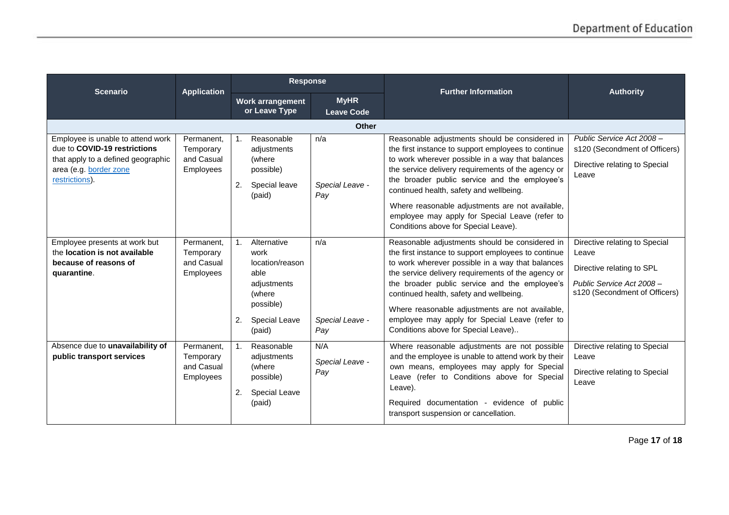| <b>Scenario</b>                                                                                                                                     | <b>Response</b><br><b>Application</b>              |                                                                                                                                                |                                  | <b>Further Information</b>                                                                                                                                                                                                                                                                                                                                                                                                                               | <b>Authority</b>                                                                                                                  |
|-----------------------------------------------------------------------------------------------------------------------------------------------------|----------------------------------------------------|------------------------------------------------------------------------------------------------------------------------------------------------|----------------------------------|----------------------------------------------------------------------------------------------------------------------------------------------------------------------------------------------------------------------------------------------------------------------------------------------------------------------------------------------------------------------------------------------------------------------------------------------------------|-----------------------------------------------------------------------------------------------------------------------------------|
|                                                                                                                                                     |                                                    | Work arrangement<br>or Leave Type                                                                                                              | <b>MyHR</b><br><b>Leave Code</b> |                                                                                                                                                                                                                                                                                                                                                                                                                                                          |                                                                                                                                   |
|                                                                                                                                                     |                                                    |                                                                                                                                                | <b>Other</b>                     |                                                                                                                                                                                                                                                                                                                                                                                                                                                          |                                                                                                                                   |
| Employee is unable to attend work<br>due to COVID-19 restrictions<br>that apply to a defined geographic<br>area (e.g. border zone<br>restrictions). | Permanent,<br>Temporary<br>and Casual<br>Employees | Reasonable<br>1.<br>adjustments<br>(where<br>possible)<br>Special leave<br>2.<br>(paid)                                                        | n/a<br>Special Leave -<br>Pay    | Reasonable adjustments should be considered in<br>the first instance to support employees to continue<br>to work wherever possible in a way that balances<br>the service delivery requirements of the agency or<br>the broader public service and the employee's<br>continued health, safety and wellbeing.<br>Where reasonable adjustments are not available,<br>employee may apply for Special Leave (refer to<br>Conditions above for Special Leave). | Public Service Act 2008-<br>s120 (Secondment of Officers)<br>Directive relating to Special<br>Leave                               |
| Employee presents at work but<br>the location is not available<br>because of reasons of<br>quarantine.                                              | Permanent.<br>Temporary<br>and Casual<br>Employees | Alternative<br>$\mathbf{1}$ .<br>work<br>location/reason<br>able<br>adjustments<br>(where<br>possible)<br>2.<br><b>Special Leave</b><br>(paid) | n/a<br>Special Leave -<br>Pay    | Reasonable adjustments should be considered in<br>the first instance to support employees to continue<br>to work wherever possible in a way that balances<br>the service delivery requirements of the agency or<br>the broader public service and the employee's<br>continued health, safety and wellbeing.<br>Where reasonable adjustments are not available,<br>employee may apply for Special Leave (refer to<br>Conditions above for Special Leave)  | Directive relating to Special<br>Leave<br>Directive relating to SPL<br>Public Service Act 2008 -<br>s120 (Secondment of Officers) |
| Absence due to unavailability of<br>public transport services                                                                                       | Permanent,<br>Temporary<br>and Casual<br>Employees | Reasonable<br>$\mathbf{1}$ .<br>adjustments<br>(where<br>possible)<br>2.<br><b>Special Leave</b><br>(paid)                                     | N/A<br>Special Leave -<br>Pay    | Where reasonable adjustments are not possible<br>and the employee is unable to attend work by their<br>own means, employees may apply for Special<br>Leave (refer to Conditions above for Special<br>Leave).<br>Required documentation - evidence of public<br>transport suspension or cancellation.                                                                                                                                                     | Directive relating to Special<br>Leave<br>Directive relating to Special<br>Leave                                                  |